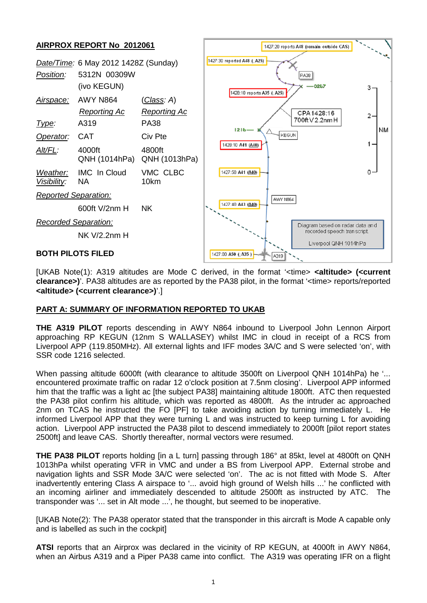

[UKAB Note(1): A319 altitudes are Mode C derived, in the format '<time> **<altitude> (<current clearance>)**'. PA38 altitudes are as reported by the PA38 pilot, in the format '<time> reports/reported **<altitude> (<current clearance>)**'.]

## **PART A: SUMMARY OF INFORMATION REPORTED TO UKAB**

**THE A319 PILOT** reports descending in AWY N864 inbound to Liverpool John Lennon Airport approaching RP KEGUN (12nm S WALLASEY) whilst IMC in cloud in receipt of a RCS from Liverpool APP (119.850MHz). All external lights and IFF modes 3A/C and S were selected 'on', with SSR code 1216 selected.

When passing altitude 6000ft (with clearance to altitude 3500ft on Liverpool QNH 1014hPa) he '... encountered proximate traffic on radar 12 o'clock position at 7.5nm closing'. Liverpool APP informed him that the traffic was a light ac [the subject PA38] maintaining altitude 1800ft. ATC then requested the PA38 pilot confirm his altitude, which was reported as 4800ft. As the intruder ac approached 2nm on TCAS he instructed the FO [PF] to take avoiding action by turning immediately L. He informed Liverpool APP that they were turning L and was instructed to keep turning L for avoiding action. Liverpool APP instructed the PA38 pilot to descend immediately to 2000ft [pilot report states 2500ft] and leave CAS. Shortly thereafter, normal vectors were resumed.

**THE PA38 PILOT** reports holding [in a L turn] passing through 186° at 85kt, level at 4800ft on QNH 1013hPa whilst operating VFR in VMC and under a BS from Liverpool APP. External strobe and navigation lights and SSR Mode 3A/C were selected 'on'. The ac is not fitted with Mode S. After inadvertently entering Class A airspace to '... avoid high ground of Welsh hills ...' he conflicted with an incoming airliner and immediately descended to altitude 2500ft as instructed by ATC. The transponder was '... set in Alt mode ...', he thought, but seemed to be inoperative.

[UKAB Note(2): The PA38 operator stated that the transponder in this aircraft is Mode A capable only and is labelled as such in the cockpit]

**ATSI** reports that an Airprox was declared in the vicinity of RP KEGUN, at 4000ft in AWY N864, when an Airbus A319 and a Piper PA38 came into conflict. The A319 was operating IFR on a flight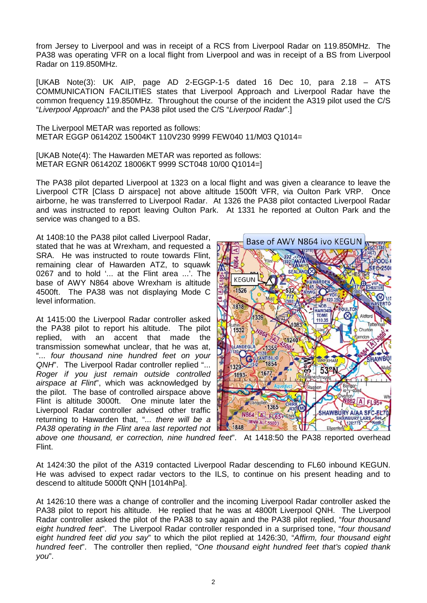from Jersey to Liverpool and was in receipt of a RCS from Liverpool Radar on 119.850MHz. The PA38 was operating VFR on a local flight from Liverpool and was in receipt of a BS from Liverpool Radar on 119.850MHz.

[UKAB Note(3): UK AIP, page AD 2-EGGP-1-5 dated 16 Dec 10, para 2.18 – ATS COMMUNICATION FACILITIES states that Liverpool Approach and Liverpool Radar have the common frequency 119.850MHz. Throughout the course of the incident the A319 pilot used the C/S "*Liverpool Approach*" and the PA38 pilot used the C/S "*Liverpool Radar*".]

The Liverpool METAR was reported as follows: METAR EGGP 061420Z 15004KT 110V230 9999 FEW040 11/M03 Q1014=

[UKAB Note(4): The Hawarden METAR was reported as follows: METAR EGNR 061420Z 18006KT 9999 SCT048 10/00 Q1014=]

The PA38 pilot departed Liverpool at 1323 on a local flight and was given a clearance to leave the Liverpool CTR [Class D airspace] not above altitude 1500ft VFR, via Oulton Park VRP. Once airborne, he was transferred to Liverpool Radar. At 1326 the PA38 pilot contacted Liverpool Radar and was instructed to report leaving Oulton Park. At 1331 he reported at Oulton Park and the service was changed to a BS.

At 1408:10 the PA38 pilot called Liverpool Radar, stated that he was at Wrexham, and requested a SRA. He was instructed to route towards Flint, remaining clear of Hawarden ATZ, to squawk 0267 and to hold '... at the Flint area ...'. The base of AWY N864 above Wrexham is altitude 4500ft. The PA38 was not displaying Mode C level information.

At 1415:00 the Liverpool Radar controller asked the PA38 pilot to report his altitude. The pilot replied, with an accent that made the transmission somewhat unclear, that he was at, "... *four thousand nine hundred feet on your QNH*". The Liverpool Radar controller replied "... *Roger if you just remain outside controlled airspace at Flint*", which was acknowledged by the pilot. The base of controlled airspace above Flint is altitude 3000ft. One minute later the Liverpool Radar controller advised other traffic returning to Hawarden that, "*... there will be a PA38 operating in the Flint area last reported not* 



*above one thousand, er correction, nine hundred feet*". At 1418:50 the PA38 reported overhead Flint.

At 1424:30 the pilot of the A319 contacted Liverpool Radar descending to FL60 inbound KEGUN. He was advised to expect radar vectors to the ILS, to continue on his present heading and to descend to altitude 5000ft QNH [1014hPa].

At 1426:10 there was a change of controller and the incoming Liverpool Radar controller asked the PA38 pilot to report his altitude. He replied that he was at 4800ft Liverpool QNH. The Liverpool Radar controller asked the pilot of the PA38 to say again and the PA38 pilot replied, "*four thousand eight hundred feet*". The Liverpool Radar controller responded in a surprised tone, "*four thousand eight hundred feet did you say*" to which the pilot replied at 1426:30, "*Affirm, four thousand eight hundred feet*". The controller then replied, "*One thousand eight hundred feet that's copied thank you*".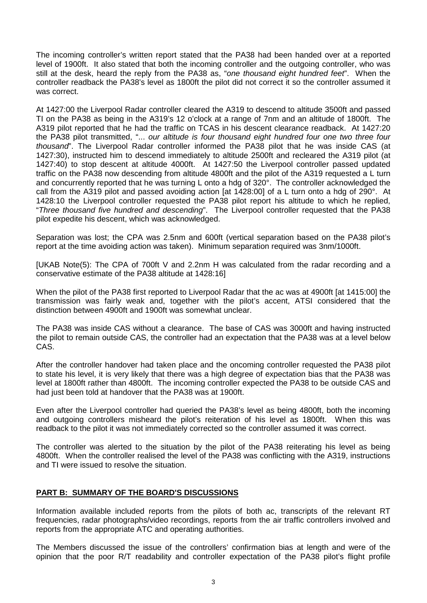The incoming controller's written report stated that the PA38 had been handed over at a reported level of 1900ft. It also stated that both the incoming controller and the outgoing controller, who was still at the desk, heard the reply from the PA38 as, "*one thousand eight hundred feet*". When the controller readback the PA38's level as 1800ft the pilot did not correct it so the controller assumed it was correct.

At 1427:00 the Liverpool Radar controller cleared the A319 to descend to altitude 3500ft and passed TI on the PA38 as being in the A319's 12 o'clock at a range of 7nm and an altitude of 1800ft. The A319 pilot reported that he had the traffic on TCAS in his descent clearance readback. At 1427:20 the PA38 pilot transmitted, "... *our altitude is four thousand eight hundred four one two three four thousand*". The Liverpool Radar controller informed the PA38 pilot that he was inside CAS (at 1427:30), instructed him to descend immediately to altitude 2500ft and recleared the A319 pilot (at 1427:40) to stop descent at altitude 4000ft. At 1427:50 the Liverpool controller passed updated traffic on the PA38 now descending from altitude 4800ft and the pilot of the A319 requested a L turn and concurrently reported that he was turning L onto a hdg of 320°. The controller acknowledged the call from the A319 pilot and passed avoiding action [at 1428:00] of a L turn onto a hdg of 290°. At 1428:10 the Liverpool controller requested the PA38 pilot report his altitude to which he replied, "*Three thousand five hundred and descending*". The Liverpool controller requested that the PA38 pilot expedite his descent, which was acknowledged.

Separation was lost; the CPA was 2.5nm and 600ft (vertical separation based on the PA38 pilot's report at the time avoiding action was taken). Minimum separation required was 3nm/1000ft.

[UKAB Note(5): The CPA of 700ft V and 2.2nm H was calculated from the radar recording and a conservative estimate of the PA38 altitude at 1428:16]

When the pilot of the PA38 first reported to Liverpool Radar that the ac was at 4900ft [at 1415:00] the transmission was fairly weak and, together with the pilot's accent, ATSI considered that the distinction between 4900ft and 1900ft was somewhat unclear.

The PA38 was inside CAS without a clearance. The base of CAS was 3000ft and having instructed the pilot to remain outside CAS, the controller had an expectation that the PA38 was at a level below CAS.

After the controller handover had taken place and the oncoming controller requested the PA38 pilot to state his level, it is very likely that there was a high degree of expectation bias that the PA38 was level at 1800ft rather than 4800ft. The incoming controller expected the PA38 to be outside CAS and had just been told at handover that the PA38 was at 1900ft.

Even after the Liverpool controller had queried the PA38's level as being 4800ft, both the incoming and outgoing controllers misheard the pilot's reiteration of his level as 1800ft. When this was readback to the pilot it was not immediately corrected so the controller assumed it was correct.

The controller was alerted to the situation by the pilot of the PA38 reiterating his level as being 4800ft. When the controller realised the level of the PA38 was conflicting with the A319, instructions and TI were issued to resolve the situation.

## **PART B: SUMMARY OF THE BOARD'S DISCUSSIONS**

Information available included reports from the pilots of both ac, transcripts of the relevant RT frequencies, radar photographs/video recordings, reports from the air traffic controllers involved and reports from the appropriate ATC and operating authorities.

The Members discussed the issue of the controllers' confirmation bias at length and were of the opinion that the poor R/T readability and controller expectation of the PA38 pilot's flight profile